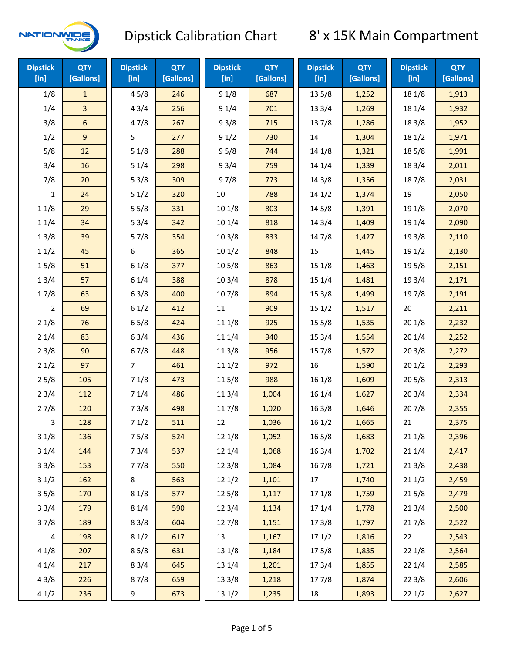

| <b>Dipstick</b><br>$[$ in] | <b>QTY</b><br>[Gallons] | <b>Dipstick</b><br>[in] | <b>QTY</b><br>[Gallons] | <b>Dipstick</b><br>[in] | <b>QTY</b><br>[Gallons] | <b>Dipstick</b><br>[in] | <b>QTY</b><br>[Gallons] | <b>Dipstick</b><br>$[$ in] | <b>QTY</b><br>[Gallons] |
|----------------------------|-------------------------|-------------------------|-------------------------|-------------------------|-------------------------|-------------------------|-------------------------|----------------------------|-------------------------|
| 1/8                        | $\mathbf{1}$            | 45/8                    | 246                     | 91/8                    | 687                     | 13 5/8                  | 1,252                   | 18 1/8                     | 1,913                   |
| 1/4                        | 3                       | 43/4                    | 256                     | 91/4                    | 701                     | 13 3/4                  | 1,269                   | 18 1/4                     | 1,932                   |
| 3/8                        | 6                       | 47/8                    | 267                     | 93/8                    | 715                     | 137/8                   | 1,286                   | 18 3/8                     | 1,952                   |
| 1/2                        | 9                       | 5                       | 277                     | 91/2                    | 730                     | 14                      | 1,304                   | 18 1/2                     | 1,971                   |
| 5/8                        | 12                      | 51/8                    | 288                     | 95/8                    | 744                     | 14 1/8                  | 1,321                   | 185/8                      | 1,991                   |
| 3/4                        | 16                      | 51/4                    | 298                     | 93/4                    | 759                     | 14 1/4                  | 1,339                   | 18 3/4                     | 2,011                   |
| 7/8                        | 20                      | 53/8                    | 309                     | 97/8                    | 773                     | 14 3/8                  | 1,356                   | 187/8                      | 2,031                   |
| 1                          | 24                      | 51/2                    | 320                     | 10                      | 788                     | 141/2                   | 1,374                   | 19                         | 2,050                   |
| 11/8                       | 29                      | 55/8                    | 331                     | 10 1/8                  | 803                     | 14 5/8                  | 1,391                   | 19 1/8                     | 2,070                   |
| 11/4                       | 34                      | 53/4                    | 342                     | 10 1/4                  | 818                     | 143/4                   | 1,409                   | 19 1/4                     | 2,090                   |
| 13/8                       | 39                      | 57/8                    | 354                     | 103/8                   | 833                     | 147/8                   | 1,427                   | 19 3/8                     | 2,110                   |
| 11/2                       | 45                      | 6                       | 365                     | 101/2                   | 848                     | 15                      | 1,445                   | 19 1/2                     | 2,130                   |
| 15/8                       | 51                      | 61/8                    | 377                     | 10 <sub>5</sub> /8      | 863                     | 151/8                   | 1,463                   | 19 5/8                     | 2,151                   |
| 13/4                       | 57                      | 61/4                    | 388                     | 103/4                   | 878                     | 151/4                   | 1,481                   | 19 3/4                     | 2,171                   |
| 17/8                       | 63                      | 63/8                    | 400                     | 107/8                   | 894                     | 153/8                   | 1,499                   | 197/8                      | 2,191                   |
| $\overline{2}$             | 69                      | 61/2                    | 412                     | $11\,$                  | 909                     | 151/2                   | 1,517                   | 20                         | 2,211                   |
| 21/8                       | 76                      | 65/8                    | 424                     | 11 1/8                  | 925                     | 15 5/8                  | 1,535                   | 201/8                      | 2,232                   |
| 21/4                       | 83                      | 63/4                    | 436                     | 11 1/4                  | 940                     | 153/4                   | 1,554                   | 201/4                      | 2,252                   |
| 23/8                       | 90                      | 67/8                    | 448                     | 11 3/8                  | 956                     | 15 7/8                  | 1,572                   | 203/8                      | 2,272                   |
| 21/2                       | 97                      | 7                       | 461                     | 111/2                   | 972                     | 16                      | 1,590                   | 201/2                      | 2,293                   |
| 25/8                       | 105                     | 71/8                    | 473                     | 115/8                   | 988                     | 16 1/8                  | 1,609                   | 205/8                      | 2,313                   |
| 23/4                       | 112                     | 71/4                    | 486                     | 113/4                   | 1,004                   | 16 1/4                  | 1,627                   | 203/4                      | 2,334                   |
| 27/8                       | 120                     | 73/8                    | 498                     | 11 7/8                  | 1,020                   | 16 3/8                  | 1,646                   | 207/8                      | 2,355                   |
| 3                          | 128                     | 71/2                    | 511                     | 12                      | 1,036                   | 161/2                   | 1,665                   | 21                         | 2,375                   |
| 31/8                       | 136                     | 75/8                    | 524                     | 12 1/8                  | 1,052                   | 16 5/8                  | 1,683                   | 211/8                      | 2,396                   |
| 31/4                       | 144                     | 73/4                    | 537                     | 12 1/4                  | 1,068                   | 16 3/4                  | 1,702                   | 211/4                      | 2,417                   |
| 33/8                       | 153                     | 77/8                    | 550                     | 12 3/8                  | 1,084                   | 16 7/8                  | 1,721                   | 213/8                      | 2,438                   |
| 31/2                       | 162                     | 8                       | 563                     | 121/2                   | 1,101                   | 17                      | 1,740                   | 211/2                      | 2,459                   |
| 35/8                       | 170                     | 81/8                    | 577                     | 12 5/8                  | 1,117                   | 17 1/8                  | 1,759                   | 215/8                      | 2,479                   |
| 33/4                       | 179                     | 81/4                    | 590                     | 123/4                   | 1,134                   | 17 1/4                  | 1,778                   | 213/4                      | 2,500                   |
| 37/8                       | 189                     | 83/8                    | 604                     | 12 7/8                  | 1,151                   | 173/8                   | 1,797                   | 217/8                      | 2,522                   |
| 4                          | 198                     | 81/2                    | 617                     | 13                      | 1,167                   | 171/2                   | 1,816                   | 22                         | 2,543                   |
| 41/8                       | 207                     | 85/8                    | 631                     | 13 1/8                  | 1,184                   | 175/8                   | 1,835                   | 22 1/8                     | 2,564                   |
| 41/4                       | 217                     | 83/4                    | 645                     | 13 1/4                  | 1,201                   | 173/4                   | 1,855                   | 221/4                      | 2,585                   |
| 43/8                       | 226                     | 87/8                    | 659                     | 13 3/8                  | 1,218                   | 177/8                   | 1,874                   | 223/8                      | 2,606                   |
| 41/2                       | 236                     | 9                       | 673                     | 13 1/2                  | 1,235                   | 18                      | 1,893                   | 221/2                      | 2,627                   |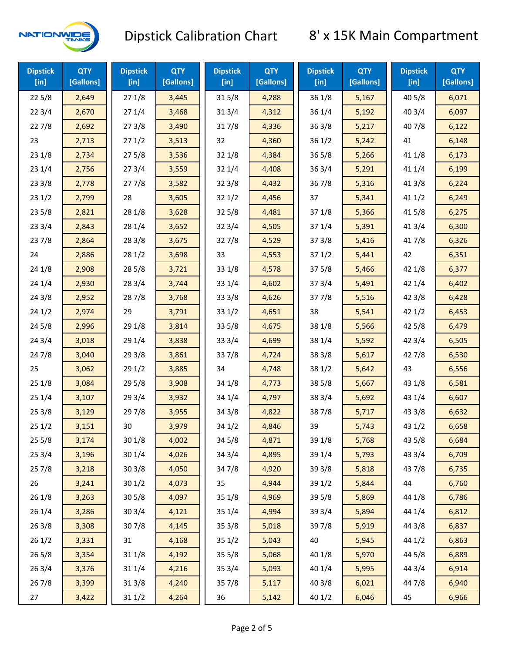

| <b>Dipstick</b><br>[in] | <b>QTY</b><br>[Gallons] | <b>Dipstick</b><br>$[$ in] | <b>QTY</b><br>[Gallons] | <b>Dipstick</b><br>$[$ in] | <b>QTY</b><br>[Gallons] | <b>Dipstick</b><br>[in] | <b>QTY</b><br>[Gallons] | <b>Dipstick</b><br>$[$ in] | <b>QTY</b><br>[Gallons] |
|-------------------------|-------------------------|----------------------------|-------------------------|----------------------------|-------------------------|-------------------------|-------------------------|----------------------------|-------------------------|
| 225/8                   | 2,649                   | 271/8                      | 3,445                   | 315/8                      | 4,288                   | 36 1/8                  | 5,167                   | 40 5/8                     | 6,071                   |
| 223/4                   | 2,670                   | 271/4                      | 3,468                   | 31 3/4                     | 4,312                   | 36 1/4                  | 5,192                   | 40 3/4                     | 6,097                   |
| 227/8                   | 2,692                   | 273/8                      | 3,490                   | 317/8                      | 4,336                   | 363/8                   | 5,217                   | 407/8                      | 6,122                   |
| 23                      | 2,713                   | 271/2                      | 3,513                   | 32                         | 4,360                   | 361/2                   | 5,242                   | 41                         | 6,148                   |
| 231/8                   | 2,734                   | 275/8                      | 3,536                   | 32 1/8                     | 4,384                   | $36\,5/8$               | 5,266                   | 41 1/8                     | 6,173                   |
| 231/4                   | 2,756                   | 273/4                      | 3,559                   | 32 1/4                     | 4,408                   | 363/4                   | 5,291                   | 41 1/4                     | 6,199                   |
| 233/8                   | 2,778                   | 277/8                      | 3,582                   | 323/8                      | 4,432                   | 36 7/8                  | 5,316                   | 41 3/8                     | 6,224                   |
| 231/2                   | 2,799                   | 28                         | 3,605                   | 321/2                      | 4,456                   | 37                      | 5,341                   | 411/2                      | 6,249                   |
| 235/8                   | 2,821                   | 28 1/8                     | 3,628                   | 32 5/8                     | 4,481                   | 37 1/8                  | 5,366                   | 41 5/8                     | 6,275                   |
| 233/4                   | 2,843                   | 28 1/4                     | 3,652                   | 32 3/4                     | 4,505                   | 37 1/4                  | 5,391                   | 41 3/4                     | 6,300                   |
| 237/8                   | 2,864                   | 28 3/8                     | 3,675                   | 327/8                      | 4,529                   | 373/8                   | 5,416                   | 417/8                      | 6,326                   |
| 24                      | 2,886                   | 281/2                      | 3,698                   | 33                         | 4,553                   | 371/2                   | 5,441                   | 42                         | 6,351                   |
| 24 1/8                  | 2,908                   | 28 5/8                     | 3,721                   | 33 1/8                     | 4,578                   | 375/8                   | 5,466                   | 42 1/8                     | 6,377                   |
| 241/4                   | 2,930                   | 28 3/4                     | 3,744                   | 33 1/4                     | 4,602                   | 373/4                   | 5,491                   | 42 1/4                     | 6,402                   |
| 243/8                   | 2,952                   | 287/8                      | 3,768                   | 33 3/8                     | 4,626                   | 377/8                   | 5,516                   | 42 3/8                     | 6,428                   |
| 241/2                   | 2,974                   | 29                         | 3,791                   | 331/2                      | 4,651                   | 38                      | 5,541                   | 421/2                      | 6,453                   |
| 245/8                   | 2,996                   | 29 1/8                     | 3,814                   | 33 5/8                     | 4,675                   | 38 1/8                  | 5,566                   | 42 5/8                     | 6,479                   |
| 243/4                   | 3,018                   | 29 1/4                     | 3,838                   | 33 3/4                     | 4,699                   | 38 1/4                  | 5,592                   | 42 3/4                     | 6,505                   |
| 24 7/8                  | 3,040                   | 29 3/8                     | 3,861                   | 337/8                      | 4,724                   | 38 3/8                  | 5,617                   | 42 7/8                     | 6,530                   |
| 25                      | 3,062                   | 29 1/2                     | 3,885                   | 34                         | 4,748                   | 38 1/2                  | 5,642                   | 43                         | 6,556                   |
| 251/8                   | 3,084                   | 29 5/8                     | 3,908                   | 34 1/8                     | 4,773                   | 38 5/8                  | 5,667                   | 43 1/8                     | 6,581                   |
| 251/4                   | 3,107                   | 29 3/4                     | 3,932                   | 34 1/4                     | 4,797                   | 38 3/4                  | 5,692                   | 43 1/4                     | 6,607                   |
| 253/8                   | 3,129                   | 297/8                      | 3,955                   | 34 3/8                     | 4,822                   | 387/8                   | 5,717                   | 43 3/8                     | 6,632                   |
| 251/2                   | 3,151                   | 30                         | 3,979                   | 34 1/2                     | 4,846                   | 39                      | 5,743                   | 43 1/2                     | 6,658                   |
| 255/8                   | 3,174                   | 301/8                      | 4,002                   | 34 5/8                     | 4,871                   | 39 1/8                  | 5,768                   | 43 5/8                     | 6,684                   |
| 253/4                   | 3,196                   | 30 1/4                     | 4,026                   | 34 3/4                     | 4,895                   | 39 1/4                  | 5,793                   | 43 3/4                     | 6,709                   |
| 257/8                   | 3,218                   | 303/8                      | 4,050                   | 347/8                      | 4,920                   | 39 3/8                  | 5,818                   | 437/8                      | 6,735                   |
| 26                      | 3,241                   | 301/2                      | 4,073                   | 35                         | 4,944                   | 39 1/2                  | 5,844                   | 44                         | 6,760                   |
| 26 1/8                  | 3,263                   | 305/8                      | 4,097                   | 35 1/8                     | 4,969                   | 39 5/8                  | 5,869                   | 44 1/8                     | 6,786                   |
| 26 1/4                  | 3,286                   | 30 3/4                     | 4,121                   | 35 1/4                     | 4,994                   | 39 3/4                  | 5,894                   | 44 1/4                     | 6,812                   |
| 263/8                   | 3,308                   | 307/8                      | 4,145                   | 35 3/8                     | 5,018                   | 397/8                   | 5,919                   | 44 3/8                     | 6,837                   |
| 261/2                   | 3,331                   | 31                         | 4,168                   | 351/2                      | 5,043                   | 40                      | 5,945                   | 44 1/2                     | 6,863                   |
| 265/8                   | 3,354                   | 31 1/8                     | 4,192                   | 35 5/8                     | 5,068                   | 40 1/8                  | 5,970                   | 44 5/8                     | 6,889                   |
| 263/4                   | 3,376                   | 31 1/4                     | 4,216                   | 35 3/4                     | 5,093                   | 40 1/4                  | 5,995                   | 44 3/4                     | 6,914                   |
| 267/8                   | 3,399                   | 31 3/8                     | 4,240                   | 357/8                      | 5,117                   | 40 3/8                  | 6,021                   | 447/8                      | 6,940                   |
| 27                      | 3,422                   | 31 1/2                     | 4,264                   | 36                         | 5,142                   | 40 1/2                  | 6,046                   | 45                         | 6,966                   |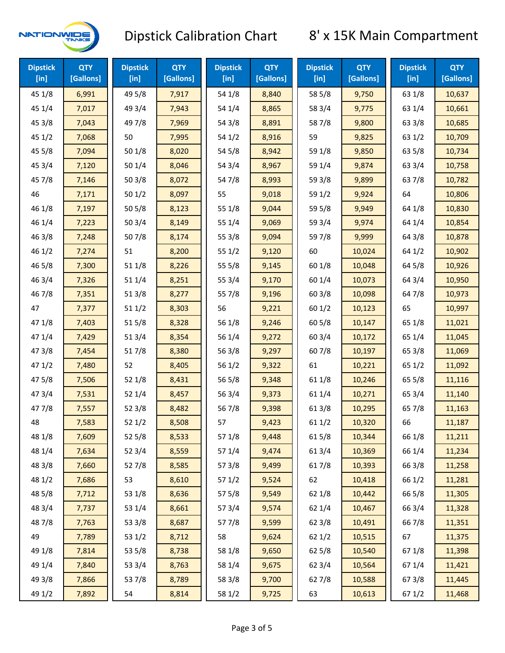

| <b>Dipstick</b><br>$[$ in] | <b>QTY</b><br>[Gallons] | <b>Dipstick</b><br>$[$ in] | <b>QTY</b><br>[Gallons] | <b>Dipstick</b><br>$[$ in] | <b>QTY</b><br>[Gallons] | <b>Dipstick</b><br>$[$ in] | <b>QTY</b><br>[Gallons] | <b>Dipstick</b><br>$[$ in] | <b>QTY</b><br>[Gallons] |
|----------------------------|-------------------------|----------------------------|-------------------------|----------------------------|-------------------------|----------------------------|-------------------------|----------------------------|-------------------------|
| 45 1/8                     | 6,991                   | 49 5/8                     | 7,917                   | 54 1/8                     | 8,840                   | 58 5/8                     | 9,750                   | 63 1/8                     | 10,637                  |
| 45 1/4                     | 7,017                   | 49 3/4                     | 7,943                   | 54 1/4                     | 8,865                   | 58 3/4                     | 9,775                   | 63 1/4                     | 10,661                  |
| 45 3/8                     | 7,043                   | 49 7/8                     | 7,969                   | 54 3/8                     | 8,891                   | 587/8                      | 9,800                   | 63 3/8                     | 10,685                  |
| 45 1/2                     | 7,068                   | 50                         | 7,995                   | 54 1/2                     | 8,916                   | 59                         | 9,825                   | 63 1/2                     | 10,709                  |
| 45 5/8                     | 7,094                   | 50 1/8                     | 8,020                   | 54 5/8                     | 8,942                   | 59 1/8                     | 9,850                   | 63 5/8                     | 10,734                  |
| 45 3/4                     | 7,120                   | 50 1/4                     | 8,046                   | 54 3/4                     | 8,967                   | 59 1/4                     | 9,874                   | 63 3/4                     | 10,758                  |
| 45 7/8                     | 7,146                   | 503/8                      | 8,072                   | 54 7/8                     | 8,993                   | 59 3/8                     | 9,899                   | 637/8                      | 10,782                  |
| 46                         | 7,171                   | 501/2                      | 8,097                   | 55                         | 9,018                   | 59 1/2                     | 9,924                   | 64                         | 10,806                  |
| 46 1/8                     | 7,197                   | 505/8                      | 8,123                   | 55 1/8                     | 9,044                   | 59 5/8                     | 9,949                   | 64 1/8                     | 10,830                  |
| 46 1/4                     | 7,223                   | 503/4                      | 8,149                   | 55 1/4                     | 9,069                   | 59 3/4                     | 9,974                   | 64 1/4                     | 10,854                  |
| 46 3/8                     | 7,248                   | 507/8                      | 8,174                   | 55 3/8                     | 9,094                   | 59 7/8                     | 9,999                   | 64 3/8                     | 10,878                  |
| 46 1/2                     | 7,274                   | 51                         | 8,200                   | 55 1/2                     | 9,120                   | 60                         | 10,024                  | 64 1/2                     | 10,902                  |
| 46 5/8                     | 7,300                   | 51 1/8                     | 8,226                   | 55 5/8                     | 9,145                   | 60 1/8                     | 10,048                  | 64 5/8                     | 10,926                  |
| 46 3/4                     | 7,326                   | 51 1/4                     | 8,251                   | 55 3/4                     | 9,170                   | 60 1/4                     | 10,073                  | 64 3/4                     | 10,950                  |
| 46 7/8                     | 7,351                   | 513/8                      | 8,277                   | 55 7/8                     | 9,196                   | 603/8                      | 10,098                  | 64 7/8                     | 10,973                  |
| 47                         | 7,377                   | 511/2                      | 8,303                   | 56                         | 9,221                   | 601/2                      | 10,123                  | 65                         | 10,997                  |
| 47 1/8                     | 7,403                   | 515/8                      | 8,328                   | 56 1/8                     | 9,246                   | 60 5/8                     | 10,147                  | 65 1/8                     | 11,021                  |
| 47 1/4                     | 7,429                   | 51 3/4                     | 8,354                   | 56 1/4                     | 9,272                   | 603/4                      | 10,172                  | 65 1/4                     | 11,045                  |
| 47 3/8                     | 7,454                   | 517/8                      | 8,380                   | 563/8                      | 9,297                   | 60 7/8                     | 10,197                  | 65 3/8                     | 11,069                  |
| 47 1/2                     | 7,480                   | 52                         | 8,405                   | 56 1/2                     | 9,322                   | 61                         | 10,221                  | 65 1/2                     | 11,092                  |
| 475/8                      | 7,506                   | 52 1/8                     | 8,431                   | 56 5/8                     | 9,348                   | 61 1/8                     | 10,246                  | 65 5/8                     | 11,116                  |
| 47 3/4                     | 7,531                   | 52 1/4                     | 8,457                   | 56 3/4                     | 9,373                   | 61 1/4                     | 10,271                  | 65 3/4                     | 11,140                  |
| 477/8                      | 7,557                   | 52 3/8                     | 8,482                   | 567/8                      | 9,398                   | 61 3/8                     | 10,295                  | 65 7/8                     | 11,163                  |
| 48                         | 7,583                   | 52 1/2                     | 8,508                   | 57                         | 9,423                   | 61 1/2                     | 10,320                  | 66                         | 11,187                  |
| 48 1/8                     | 7,609                   | 525/8                      | 8,533                   | 57 1/8                     | 9,448                   | 615/8                      | 10,344                  | 66 1/8                     | 11,211                  |
| 48 1/4                     | 7,634                   | 52 3/4                     | 8,559                   | 57 1/4                     | 9,474                   | 61 3/4                     | 10,369                  | 66 1/4                     | 11,234                  |
| 48 3/8                     | 7,660                   | 527/8                      | 8,585                   | 57 3/8                     | 9,499                   | 617/8                      | 10,393                  | 66 3/8                     | 11,258                  |
| 48 1/2                     | 7,686                   | 53                         | 8,610                   | 57 1/2                     | 9,524                   | 62                         | 10,418                  | 66 1/2                     | 11,281                  |
| 48 5/8                     | 7,712                   | 53 1/8                     | 8,636                   | 57 5/8                     | 9,549                   | 62 1/8                     | 10,442                  | 66 5/8                     | 11,305                  |
| 48 3/4                     | 7,737                   | 53 1/4                     | 8,661                   | 573/4                      | 9,574                   | 62 1/4                     | 10,467                  | 66 3/4                     | 11,328                  |
| 487/8                      | 7,763                   | 53 3/8                     | 8,687                   | 577/8                      | 9,599                   | 62 3/8                     | 10,491                  | 667/8                      | 11,351                  |
| 49                         | 7,789                   | 53 1/2                     | 8,712                   | 58                         | 9,624                   | 621/2                      | 10,515                  | 67                         | 11,375                  |
| 49 1/8                     | 7,814                   | 53 5/8                     | 8,738                   | 58 1/8                     | 9,650                   | 62 5/8                     | 10,540                  | 671/8                      | 11,398                  |
| 49 1/4                     | 7,840                   | 53 3/4                     | 8,763                   | 58 1/4                     | 9,675                   | 62 3/4                     | 10,564                  | 67 1/4                     | 11,421                  |
| 49 3/8                     | 7,866                   | 537/8                      | 8,789                   | 58 3/8                     | 9,700                   | 627/8                      | 10,588                  | 673/8                      | 11,445                  |
| 49 1/2                     | 7,892                   | 54                         | 8,814                   | 58 1/2                     | 9,725                   | 63                         | 10,613                  | 67 1/2                     | 11,468                  |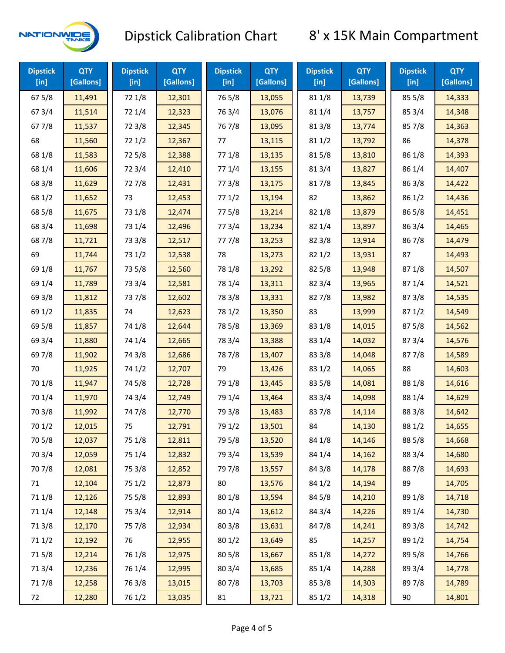

| <b>Dipstick</b><br>$[$ in] | <b>QTY</b><br>[Gallons] | <b>Dipstick</b><br>$[$ in] | <b>QTY</b><br>[Gallons] | <b>Dipstick</b><br>$[$ in] | <b>QTY</b><br>[Gallons] | <b>Dipstick</b><br>$[$ in] | <b>QTY</b><br>[Gallons] | <b>Dipstick</b><br>[in] | <b>QTY</b><br>[Gallons] |
|----------------------------|-------------------------|----------------------------|-------------------------|----------------------------|-------------------------|----------------------------|-------------------------|-------------------------|-------------------------|
| 675/8                      | 11,491                  | 72 1/8                     | 12,301                  | 765/8                      | 13,055                  | 81 1/8                     | 13,739                  | 855/8                   | 14,333                  |
| 67 3/4                     | 11,514                  | 72 1/4                     | 12,323                  | 763/4                      | 13,076                  | 81 1/4                     | 13,757                  | 85 3/4                  | 14,348                  |
| 677/8                      | 11,537                  | 72 3/8                     | 12,345                  | 767/8                      | 13,095                  | 81 3/8                     | 13,774                  | 857/8                   | 14,363                  |
| 68                         | 11,560                  | 721/2                      | 12,367                  | 77                         | 13,115                  | 811/2                      | 13,792                  | 86                      | 14,378                  |
| 68 1/8                     | 11,583                  | 725/8                      | 12,388                  | 77 1/8                     | 13,135                  | 815/8                      | 13,810                  | 86 1/8                  | 14,393                  |
| 68 1/4                     | 11,606                  | 72 3/4                     | 12,410                  | 77 1/4                     | 13,155                  | 813/4                      | 13,827                  | 86 1/4                  | 14,407                  |
| 68 3/8                     | 11,629                  | 727/8                      | 12,431                  | 77 3/8                     | 13,175                  | 817/8                      | 13,845                  | 86 3/8                  | 14,422                  |
| 68 1/2                     | 11,652                  | 73                         | 12,453                  | 771/2                      | 13,194                  | 82                         | 13,862                  | 86 1/2                  | 14,436                  |
| 68 5/8                     | 11,675                  | 73 1/8                     | 12,474                  | 775/8                      | 13,214                  | 82 1/8                     | 13,879                  | 86 5/8                  | 14,451                  |
| 68 3/4                     | 11,698                  | 73 1/4                     | 12,496                  | 773/4                      | 13,234                  | 82 1/4                     | 13,897                  | 86 3/4                  | 14,465                  |
| 687/8                      | 11,721                  | 73 3/8                     | 12,517                  | 777/8                      | 13,253                  | 82 3/8                     | 13,914                  | 867/8                   | 14,479                  |
| 69                         | 11,744                  | 73 1/2                     | 12,538                  | 78                         | 13,273                  | 821/2                      | 13,931                  | 87                      | 14,493                  |
| 69 1/8                     | 11,767                  | 73 5/8                     | 12,560                  | 78 1/8                     | 13,292                  | 825/8                      | 13,948                  | 871/8                   | 14,507                  |
| 69 1/4                     | 11,789                  | 73 3/4                     | 12,581                  | 78 1/4                     | 13,311                  | 82 3/4                     | 13,965                  | 871/4                   | 14,521                  |
| 69 3/8                     | 11,812                  | 737/8                      | 12,602                  | 78 3/8                     | 13,331                  | 827/8                      | 13,982                  | 87 3/8                  | 14,535                  |
| 69 1/2                     | 11,835                  | 74                         | 12,623                  | 78 1/2                     | 13,350                  | 83                         | 13,999                  | 871/2                   | 14,549                  |
| 69 5/8                     | 11,857                  | 74 1/8                     | 12,644                  | 78 5/8                     | 13,369                  | 83 1/8                     | 14,015                  | 875/8                   | 14,562                  |
| 69 3/4                     | 11,880                  | 74 1/4                     | 12,665                  | 78 3/4                     | 13,388                  | 83 1/4                     | 14,032                  | 87 3/4                  | 14,576                  |
| 697/8                      | 11,902                  | 74 3/8                     | 12,686                  | 787/8                      | 13,407                  | 83 3/8                     | 14,048                  | 877/8                   | 14,589                  |
| 70                         | 11,925                  | 74 1/2                     | 12,707                  | 79                         | 13,426                  | 83 1/2                     | 14,065                  | 88                      | 14,603                  |
| 70 1/8                     | 11,947                  | 74 5/8                     | 12,728                  | 79 1/8                     | 13,445                  | 83 5/8                     | 14,081                  | 88 1/8                  | 14,616                  |
| 70 1/4                     | 11,970                  | 74 3/4                     | 12,749                  | 79 1/4                     | 13,464                  | 83 3/4                     | 14,098                  | 88 1/4                  | 14,629                  |
| 70 3/8                     | 11,992                  | 747/8                      | 12,770                  | 79 3/8                     | 13,483                  | 837/8                      | 14,114                  | 88 3/8                  | 14,642                  |
| 70 1/2                     | 12,015                  | 75                         | 12,791                  | 79 1/2                     | 13,501                  | 84                         | 14,130                  | 88 1/2                  | 14,655                  |
| 70 5/8                     | 12,037                  | 75 1/8                     | 12,811                  | 79 5/8                     | 13,520                  | 84 1/8                     | 14,146                  | 88 5/8                  | 14,668                  |
| 70 3/4                     | 12,059                  | 75 1/4                     | 12,832                  | 79 3/4                     | 13,539                  | 84 1/4                     | 14,162                  | 88 3/4                  | 14,680                  |
| 70 7/8                     | 12,081                  | 75 3/8                     | 12,852                  | 79 7/8                     | 13,557                  | 84 3/8                     | 14,178                  | 887/8                   | 14,693                  |
| 71                         | 12,104                  | 75 1/2                     | 12,873                  | 80                         | 13,576                  | 84 1/2                     | 14,194                  | 89                      | 14,705                  |
| 71 1/8                     | 12,126                  | 75 5/8                     | 12,893                  | 80 1/8                     | 13,594                  | 84 5/8                     | 14,210                  | 89 1/8                  | 14,718                  |
| 71 1/4                     | 12,148                  | 75 3/4                     | 12,914                  | 80 1/4                     | 13,612                  | 84 3/4                     | 14,226                  | 89 1/4                  | 14,730                  |
| 713/8                      | 12,170                  | 75 7/8                     | 12,934                  | 80 3/8                     | 13,631                  | 847/8                      | 14,241                  | 89 3/8                  | 14,742                  |
| 71 1/2                     | 12,192                  | 76                         | 12,955                  | 80 1/2                     | 13,649                  | 85                         | 14,257                  | 89 1/2                  | 14,754                  |
| 715/8                      | 12,214                  | 76 1/8                     | 12,975                  | 80 5/8                     | 13,667                  | 85 1/8                     | 14,272                  | 89 5/8                  | 14,766                  |
| 713/4                      | 12,236                  | 76 1/4                     | 12,995                  | 80 3/4                     | 13,685                  | 85 1/4                     | 14,288                  | 89 3/4                  | 14,778                  |
| 717/8                      | 12,258                  | 763/8                      | 13,015                  | 807/8                      | 13,703                  | 85 3/8                     | 14,303                  | 897/8                   | 14,789                  |
| 72                         | 12,280                  | 76 1/2                     | 13,035                  | 81                         | 13,721                  | 85 1/2                     | 14,318                  | 90                      | 14,801                  |